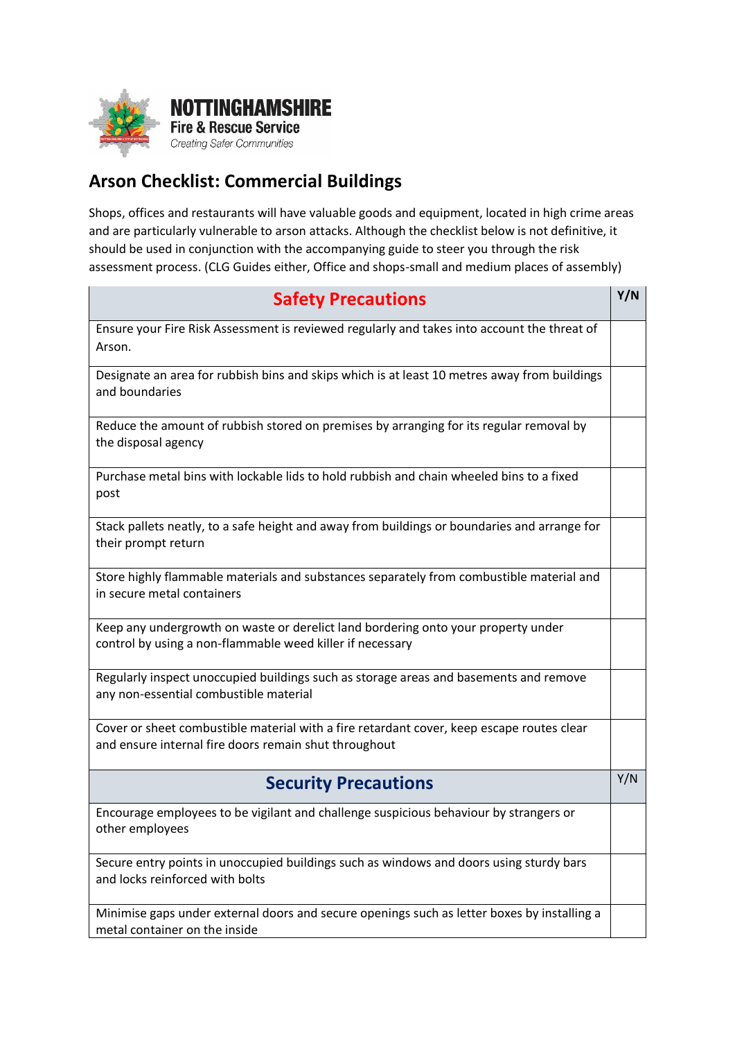

## **Arson Checklist: Commercial Buildings**

Shops, offices and restaurants will have valuable goods and equipment, located in high crime areas and are particularly vulnerable to arson attacks. Although the checklist below is not definitive, it should be used in conjunction with the accompanying guide to steer you through the risk assessment process. (CLG Guides either, Office and shops-small and medium places of assembly)

| <b>Safety Precautions</b>                                                                                                                          | Y/N |
|----------------------------------------------------------------------------------------------------------------------------------------------------|-----|
| Ensure your Fire Risk Assessment is reviewed regularly and takes into account the threat of<br>Arson.                                              |     |
| Designate an area for rubbish bins and skips which is at least 10 metres away from buildings<br>and boundaries                                     |     |
| Reduce the amount of rubbish stored on premises by arranging for its regular removal by<br>the disposal agency                                     |     |
| Purchase metal bins with lockable lids to hold rubbish and chain wheeled bins to a fixed<br>post                                                   |     |
| Stack pallets neatly, to a safe height and away from buildings or boundaries and arrange for<br>their prompt return                                |     |
| Store highly flammable materials and substances separately from combustible material and<br>in secure metal containers                             |     |
| Keep any undergrowth on waste or derelict land bordering onto your property under<br>control by using a non-flammable weed killer if necessary     |     |
| Regularly inspect unoccupied buildings such as storage areas and basements and remove<br>any non-essential combustible material                    |     |
| Cover or sheet combustible material with a fire retardant cover, keep escape routes clear<br>and ensure internal fire doors remain shut throughout |     |
| <b>Security Precautions</b>                                                                                                                        | Y/N |
| Encourage employees to be vigilant and challenge suspicious behaviour by strangers or<br>other employees                                           |     |
| Secure entry points in unoccupied buildings such as windows and doors using sturdy bars<br>and locks reinforced with bolts                         |     |
| Minimise gaps under external doors and secure openings such as letter boxes by installing a<br>metal container on the inside                       |     |